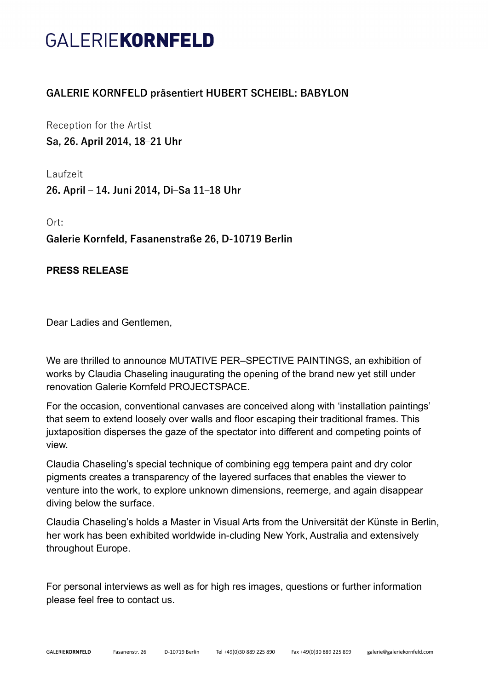## GALERIEKORNFELD

## **GALERIE KORNFELD präsentiert HUBERT SCHEIBL: BABYLON**

Reception for the Artist **Sa, 26. April 2014, 18‒21 Uhr**

Laufzeit

**26. April ‒ 14. Juni 2014, Di‒Sa 11‒18 Uhr**

Ort: **Galerie Kornfeld, Fasanenstraße 26, D-10719 Berlin**

## **PRESS RELEASE**

Dear Ladies and Gentlemen,

We are thrilled to announce MUTATIVE PER–SPECTIVE PAINTINGS, an exhibition of works by Claudia Chaseling inaugurating the opening of the brand new yet still under renovation Galerie Kornfeld PROJECTSPACE.

For the occasion, conventional canvases are conceived along with 'installation paintings' that seem to extend loosely over walls and floor escaping their traditional frames. This juxtaposition disperses the gaze of the spectator into different and competing points of view.

Claudia Chaseling's special technique of combining egg tempera paint and dry color pigments creates a transparency of the layered surfaces that enables the viewer to venture into the work, to explore unknown dimensions, reemerge, and again disappear diving below the surface.

Claudia Chaseling's holds a Master in Visual Arts from the Universität der Künste in Berlin, her work has been exhibited worldwide in-cluding New York, Australia and extensively throughout Europe.

For personal interviews as well as for high res images, questions or further information please feel free to contact us.